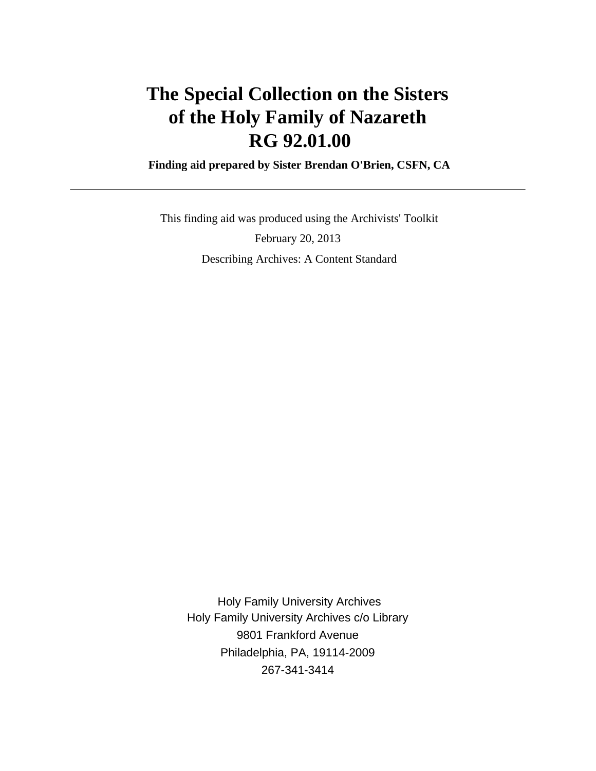# **The Special Collection on the Sisters of the Holy Family of Nazareth RG 92.01.00**

 **Finding aid prepared by Sister Brendan O'Brien, CSFN, CA**

 This finding aid was produced using the Archivists' Toolkit February 20, 2013 Describing Archives: A Content Standard

 Holy Family University Archives Holy Family University Archives c/o Library 9801 Frankford Avenue Philadelphia, PA, 19114-2009 267-341-3414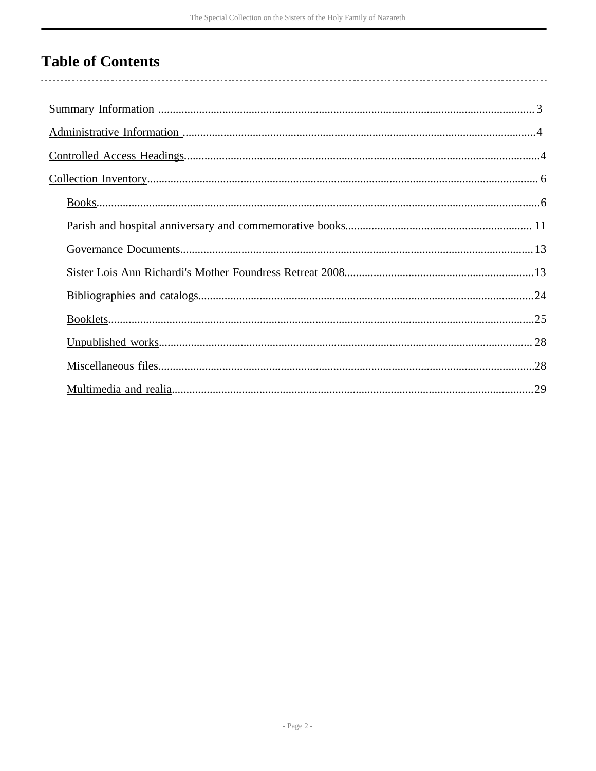# **Table of Contents**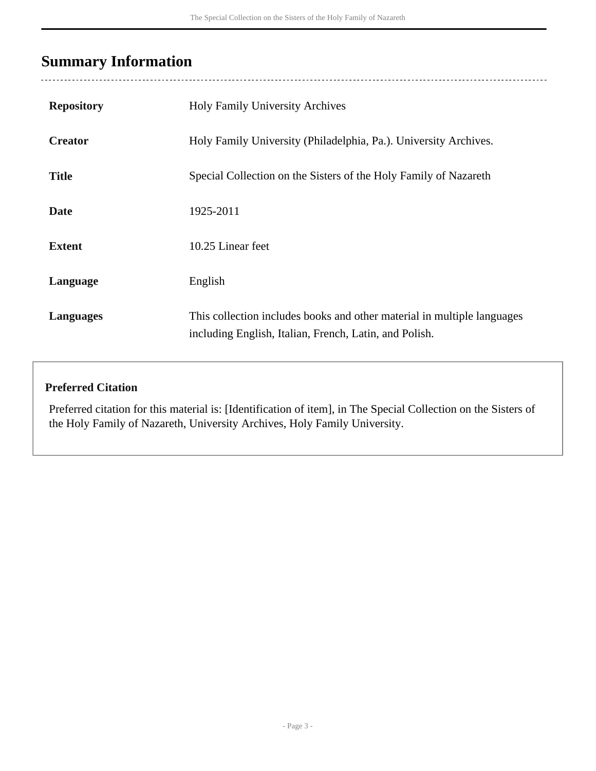# <span id="page-2-0"></span>**Summary Information**

| <b>Repository</b> | <b>Holy Family University Archives</b>                                                                                            |
|-------------------|-----------------------------------------------------------------------------------------------------------------------------------|
| <b>Creator</b>    | Holy Family University (Philadelphia, Pa.). University Archives.                                                                  |
| <b>Title</b>      | Special Collection on the Sisters of the Holy Family of Nazareth                                                                  |
| <b>Date</b>       | 1925-2011                                                                                                                         |
| <b>Extent</b>     | 10.25 Linear feet                                                                                                                 |
| Language          | English                                                                                                                           |
| <b>Languages</b>  | This collection includes books and other material in multiple languages<br>including English, Italian, French, Latin, and Polish. |

### **Preferred Citation**

Preferred citation for this material is: [Identification of item], in The Special Collection on the Sisters of the Holy Family of Nazareth, University Archives, Holy Family University.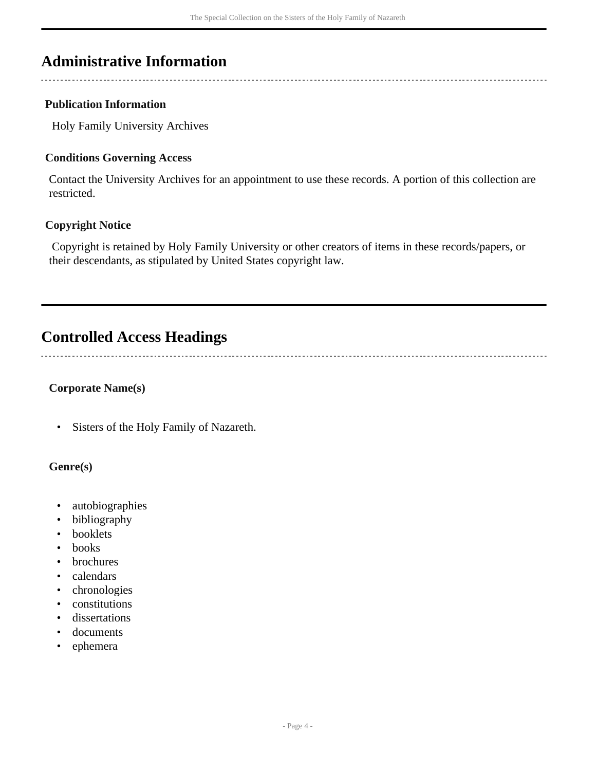## <span id="page-3-0"></span>**Administrative Information**

### **Publication Information**

Holy Family University Archives

### **Conditions Governing Access**

Contact the University Archives for an appointment to use these records. A portion of this collection are restricted.

### **Copyright Notice**

 Copyright is retained by Holy Family University or other creators of items in these records/papers, or their descendants, as stipulated by United States copyright law.

# <span id="page-3-1"></span>**Controlled Access Headings**

### **Corporate Name(s)**

• Sisters of the Holy Family of Nazareth.

### **Genre(s)**

- autobiographies
- bibliography
- booklets
- books
- brochures
- calendars
- chronologies
- constitutions
- dissertations
- documents
- ephemera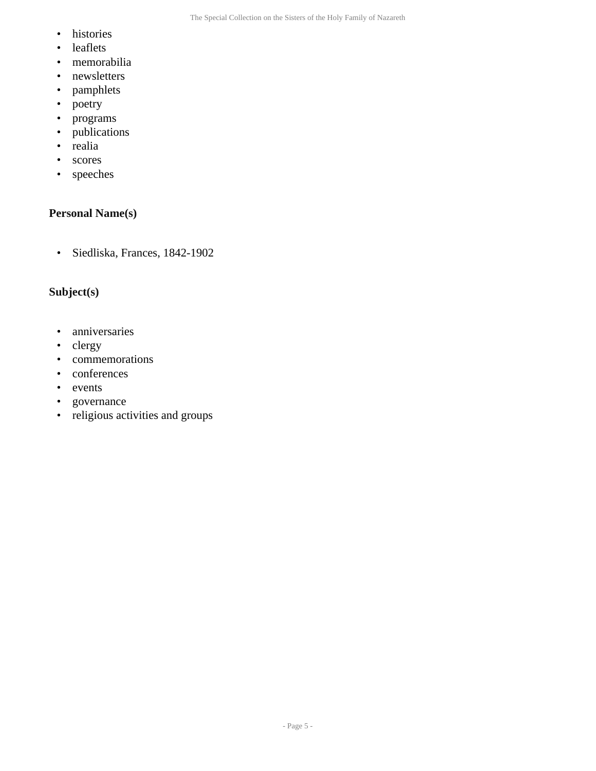- histories
- leaflets
- memorabilia
- newsletters
- pamphlets
- poetry
- programs
- publications
- realia
- scores
- speeches

### **Personal Name(s)**

• Siedliska, Frances, 1842-1902

### **Subject(s)**

- anniversaries
- clergy
- commemorations
- conferences
- events
- governance
- religious activities and groups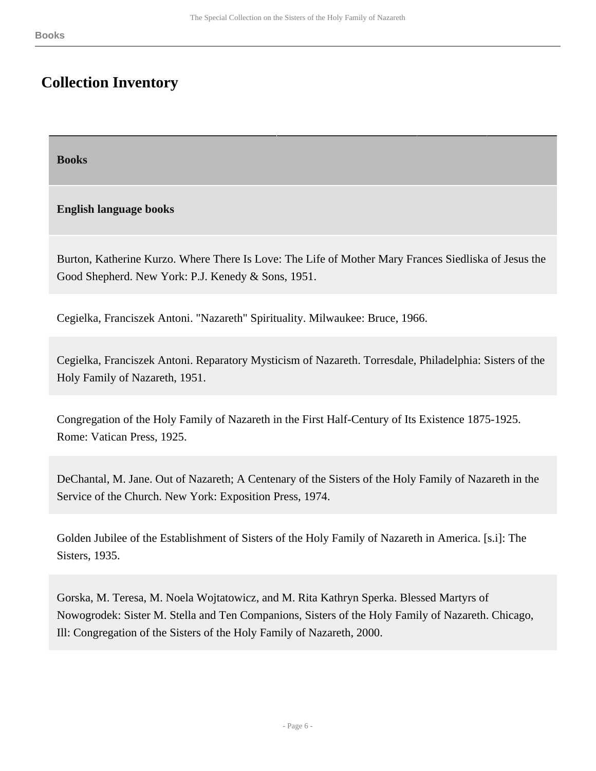# <span id="page-5-0"></span>**Collection Inventory**

<span id="page-5-1"></span>**Books** 

### **English language books**

Burton, Katherine Kurzo. Where There Is Love: The Life of Mother Mary Frances Siedliska of Jesus the Good Shepherd. New York: P.J. Kenedy & Sons, 1951.

Cegielka, Franciszek Antoni. "Nazareth" Spirituality. Milwaukee: Bruce, 1966.

Cegielka, Franciszek Antoni. Reparatory Mysticism of Nazareth. Torresdale, Philadelphia: Sisters of the Holy Family of Nazareth, 1951.

Congregation of the Holy Family of Nazareth in the First Half-Century of Its Existence 1875-1925. Rome: Vatican Press, 1925.

DeChantal, M. Jane. Out of Nazareth; A Centenary of the Sisters of the Holy Family of Nazareth in the Service of the Church. New York: Exposition Press, 1974.

Golden Jubilee of the Establishment of Sisters of the Holy Family of Nazareth in America. [s.i]: The Sisters, 1935.

Gorska, M. Teresa, M. Noela Wojtatowicz, and M. Rita Kathryn Sperka. Blessed Martyrs of Nowogrodek: Sister M. Stella and Ten Companions, Sisters of the Holy Family of Nazareth. Chicago, Ill: Congregation of the Sisters of the Holy Family of Nazareth, 2000.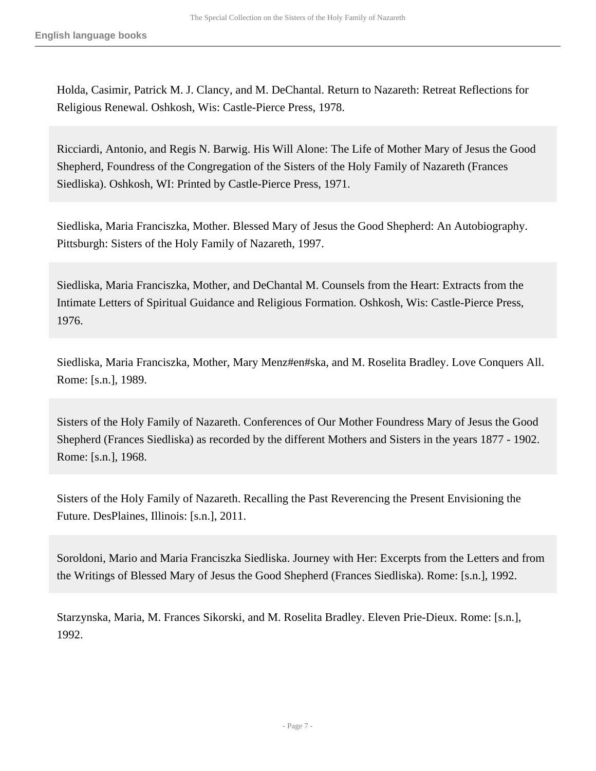Holda, Casimir, Patrick M. J. Clancy, and M. DeChantal. Return to Nazareth: Retreat Reflections for Religious Renewal. Oshkosh, Wis: Castle-Pierce Press, 1978.

Ricciardi, Antonio, and Regis N. Barwig. His Will Alone: The Life of Mother Mary of Jesus the Good Shepherd, Foundress of the Congregation of the Sisters of the Holy Family of Nazareth (Frances Siedliska). Oshkosh, WI: Printed by Castle-Pierce Press, 1971.

Siedliska, Maria Franciszka, Mother. Blessed Mary of Jesus the Good Shepherd: An Autobiography. Pittsburgh: Sisters of the Holy Family of Nazareth, 1997.

Siedliska, Maria Franciszka, Mother, and DeChantal M. Counsels from the Heart: Extracts from the Intimate Letters of Spiritual Guidance and Religious Formation. Oshkosh, Wis: Castle-Pierce Press, 1976.

Siedliska, Maria Franciszka, Mother, Mary Menz#en#ska, and M. Roselita Bradley. Love Conquers All. Rome: [s.n.], 1989.

Sisters of the Holy Family of Nazareth. Conferences of Our Mother Foundress Mary of Jesus the Good Shepherd (Frances Siedliska) as recorded by the different Mothers and Sisters in the years 1877 - 1902. Rome: [s.n.], 1968.

Sisters of the Holy Family of Nazareth. Recalling the Past Reverencing the Present Envisioning the Future. DesPlaines, Illinois: [s.n.], 2011.

Soroldoni, Mario and Maria Franciszka Siedliska. Journey with Her: Excerpts from the Letters and from the Writings of Blessed Mary of Jesus the Good Shepherd (Frances Siedliska). Rome: [s.n.], 1992.

Starzynska, Maria, M. Frances Sikorski, and M. Roselita Bradley. Eleven Prie-Dieux. Rome: [s.n.], 1992.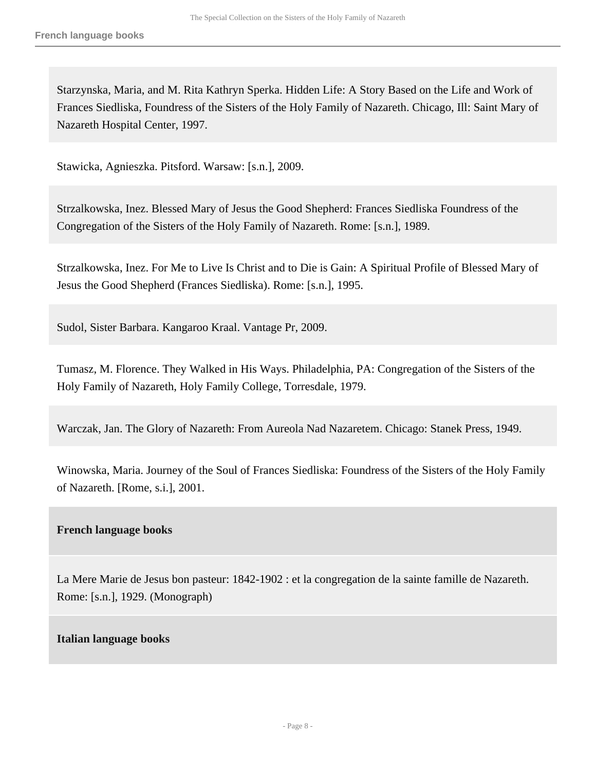Starzynska, Maria, and M. Rita Kathryn Sperka. Hidden Life: A Story Based on the Life and Work of Frances Siedliska, Foundress of the Sisters of the Holy Family of Nazareth. Chicago, Ill: Saint Mary of Nazareth Hospital Center, 1997.

Stawicka, Agnieszka. Pitsford. Warsaw: [s.n.], 2009.

Strzalkowska, Inez. Blessed Mary of Jesus the Good Shepherd: Frances Siedliska Foundress of the Congregation of the Sisters of the Holy Family of Nazareth. Rome: [s.n.], 1989.

Strzalkowska, Inez. For Me to Live Is Christ and to Die is Gain: A Spiritual Profile of Blessed Mary of Jesus the Good Shepherd (Frances Siedliska). Rome: [s.n.], 1995.

Sudol, Sister Barbara. Kangaroo Kraal. Vantage Pr, 2009.

Tumasz, M. Florence. They Walked in His Ways. Philadelphia, PA: Congregation of the Sisters of the Holy Family of Nazareth, Holy Family College, Torresdale, 1979.

Warczak, Jan. The Glory of Nazareth: From Aureola Nad Nazaretem. Chicago: Stanek Press, 1949.

Winowska, Maria. Journey of the Soul of Frances Siedliska: Foundress of the Sisters of the Holy Family of Nazareth. [Rome, s.i.], 2001.

#### **French language books**

La Mere Marie de Jesus bon pasteur: 1842-1902 : et la congregation de la sainte famille de Nazareth. Rome: [s.n.], 1929. (Monograph)

#### **Italian language books**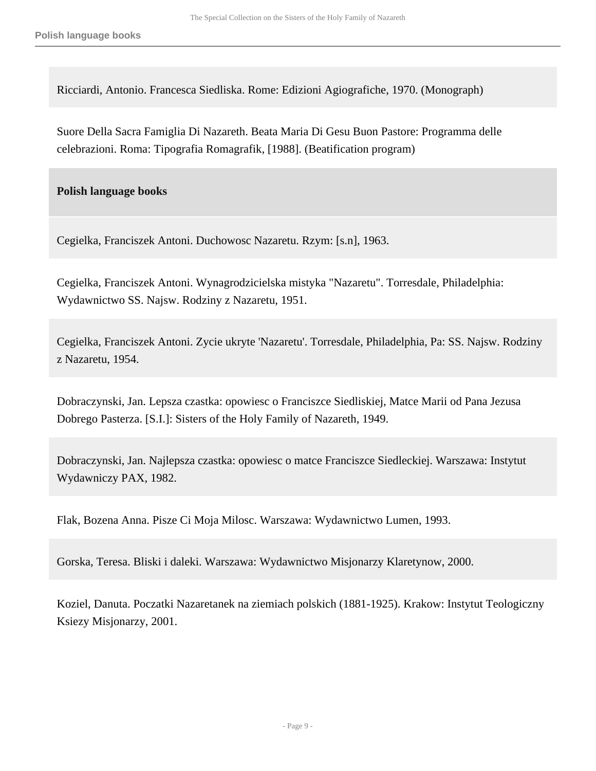Ricciardi, Antonio. Francesca Siedliska. Rome: Edizioni Agiografiche, 1970. (Monograph)

Suore Della Sacra Famiglia Di Nazareth. Beata Maria Di Gesu Buon Pastore: Programma delle celebrazioni. Roma: Tipografia Romagrafik, [1988]. (Beatification program)

**Polish language books** 

Cegielka, Franciszek Antoni. Duchowosc Nazaretu. Rzym: [s.n], 1963.

Cegielka, Franciszek Antoni. Wynagrodzicielska mistyka "Nazaretu". Torresdale, Philadelphia: Wydawnictwo SS. Najsw. Rodziny z Nazaretu, 1951.

Cegielka, Franciszek Antoni. Zycie ukryte 'Nazaretu'. Torresdale, Philadelphia, Pa: SS. Najsw. Rodziny z Nazaretu, 1954.

Dobraczynski, Jan. Lepsza czastka: opowiesc o Franciszce Siedliskiej, Matce Marii od Pana Jezusa Dobrego Pasterza. [S.I.]: Sisters of the Holy Family of Nazareth, 1949.

Dobraczynski, Jan. Najlepsza czastka: opowiesc o matce Franciszce Siedleckiej. Warszawa: Instytut Wydawniczy PAX, 1982.

Flak, Bozena Anna. Pisze Ci Moja Milosc. Warszawa: Wydawnictwo Lumen, 1993.

Gorska, Teresa. Bliski i daleki. Warszawa: Wydawnictwo Misjonarzy Klaretynow, 2000.

Koziel, Danuta. Poczatki Nazaretanek na ziemiach polskich (1881-1925). Krakow: Instytut Teologiczny Ksiezy Misjonarzy, 2001.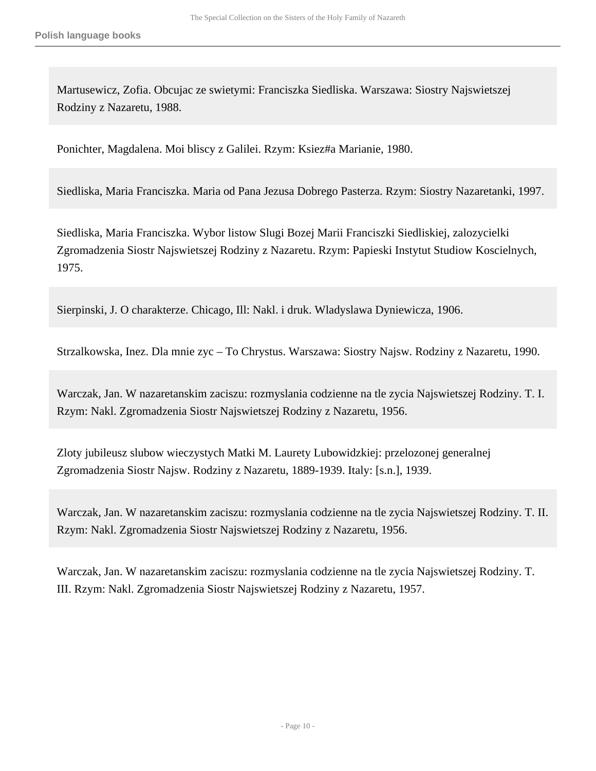Martusewicz, Zofia. Obcujac ze swietymi: Franciszka Siedliska. Warszawa: Siostry Najswietszej Rodziny z Nazaretu, 1988.

Ponichter, Magdalena. Moi bliscy z Galilei. Rzym: Ksiez#a Marianie, 1980.

Siedliska, Maria Franciszka. Maria od Pana Jezusa Dobrego Pasterza. Rzym: Siostry Nazaretanki, 1997.

Siedliska, Maria Franciszka. Wybor listow Slugi Bozej Marii Franciszki Siedliskiej, zalozycielki Zgromadzenia Siostr Najswietszej Rodziny z Nazaretu. Rzym: Papieski Instytut Studiow Koscielnych, 1975.

Sierpinski, J. O charakterze. Chicago, Ill: Nakl. i druk. Wladyslawa Dyniewicza, 1906.

Strzalkowska, Inez. Dla mnie zyc – To Chrystus. Warszawa: Siostry Najsw. Rodziny z Nazaretu, 1990.

Warczak, Jan. W nazaretanskim zaciszu: rozmyslania codzienne na tle zycia Najswietszej Rodziny. T. I. Rzym: Nakl. Zgromadzenia Siostr Najswietszej Rodziny z Nazaretu, 1956.

Zloty jubileusz slubow wieczystych Matki M. Laurety Lubowidzkiej: przelozonej generalnej Zgromadzenia Siostr Najsw. Rodziny z Nazaretu, 1889-1939. Italy: [s.n.], 1939.

Warczak, Jan. W nazaretanskim zaciszu: rozmyslania codzienne na tle zycia Najswietszej Rodziny. T. II. Rzym: Nakl. Zgromadzenia Siostr Najswietszej Rodziny z Nazaretu, 1956.

Warczak, Jan. W nazaretanskim zaciszu: rozmyslania codzienne na tle zycia Najswietszej Rodziny. T. III. Rzym: Nakl. Zgromadzenia Siostr Najswietszej Rodziny z Nazaretu, 1957.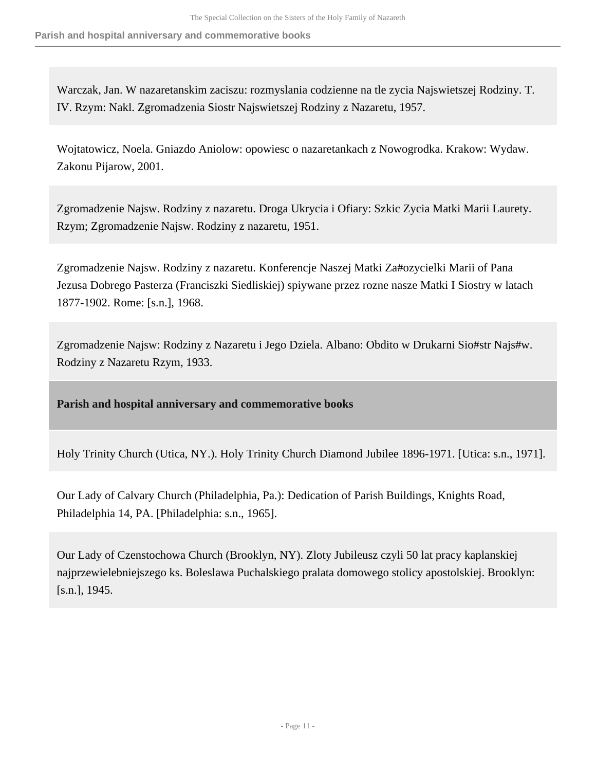**Parish and hospital anniversary and commemorative books**

Warczak, Jan. W nazaretanskim zaciszu: rozmyslania codzienne na tle zycia Najswietszej Rodziny. T. IV. Rzym: Nakl. Zgromadzenia Siostr Najswietszej Rodziny z Nazaretu, 1957.

Wojtatowicz, Noela. Gniazdo Aniolow: opowiesc o nazaretankach z Nowogrodka. Krakow: Wydaw. Zakonu Pijarow, 2001.

Zgromadzenie Najsw. Rodziny z nazaretu. Droga Ukrycia i Ofiary: Szkic Zycia Matki Marii Laurety. Rzym; Zgromadzenie Najsw. Rodziny z nazaretu, 1951.

Zgromadzenie Najsw. Rodziny z nazaretu. Konferencje Naszej Matki Za#ozycielki Marii of Pana Jezusa Dobrego Pasterza (Franciszki Siedliskiej) spiywane przez rozne nasze Matki I Siostry w latach 1877-1902. Rome: [s.n.], 1968.

Zgromadzenie Najsw: Rodziny z Nazaretu i Jego Dziela. Albano: Obdito w Drukarni Sio#str Najs#w. Rodziny z Nazaretu Rzym, 1933.

<span id="page-10-0"></span>**Parish and hospital anniversary and commemorative books** 

Holy Trinity Church (Utica, NY.). Holy Trinity Church Diamond Jubilee 1896-1971. [Utica: s.n., 1971].

Our Lady of Calvary Church (Philadelphia, Pa.): Dedication of Parish Buildings, Knights Road, Philadelphia 14, PA. [Philadelphia: s.n., 1965].

Our Lady of Czenstochowa Church (Brooklyn, NY). Zloty Jubileusz czyli 50 lat pracy kaplanskiej najprzewielebniejszego ks. Boleslawa Puchalskiego pralata domowego stolicy apostolskiej. Brooklyn: [s.n.], 1945.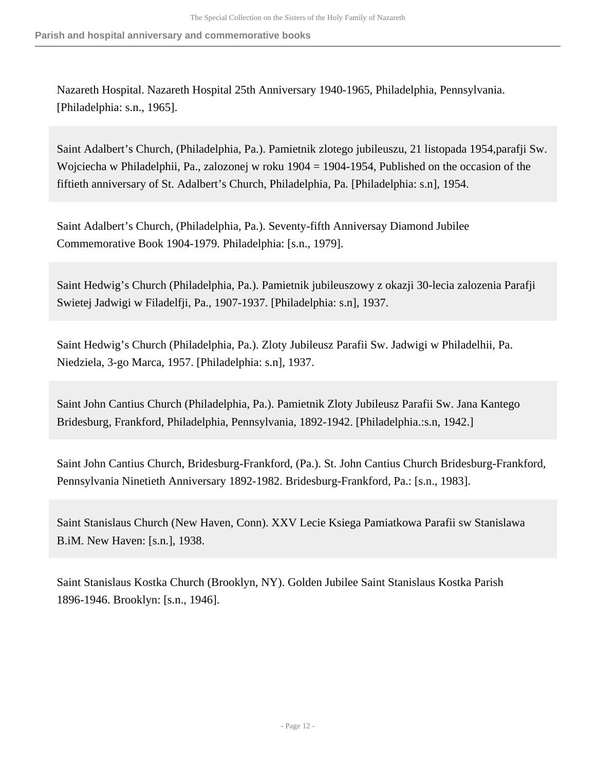Nazareth Hospital. Nazareth Hospital 25th Anniversary 1940-1965, Philadelphia, Pennsylvania. [Philadelphia: s.n., 1965].

Saint Adalbert's Church, (Philadelphia, Pa.). Pamietnik zlotego jubileuszu, 21 listopada 1954,parafji Sw. Wojciecha w Philadelphii, Pa., zalozonej w roku 1904 = 1904-1954, Published on the occasion of the fiftieth anniversary of St. Adalbert's Church, Philadelphia, Pa. [Philadelphia: s.n], 1954.

Saint Adalbert's Church, (Philadelphia, Pa.). Seventy-fifth Anniversay Diamond Jubilee Commemorative Book 1904-1979. Philadelphia: [s.n., 1979].

Saint Hedwig's Church (Philadelphia, Pa.). Pamietnik jubileuszowy z okazji 30-lecia zalozenia Parafji Swietej Jadwigi w Filadelfji, Pa., 1907-1937. [Philadelphia: s.n], 1937.

Saint Hedwig's Church (Philadelphia, Pa.). Zloty Jubileusz Parafii Sw. Jadwigi w Philadelhii, Pa. Niedziela, 3-go Marca, 1957. [Philadelphia: s.n], 1937.

Saint John Cantius Church (Philadelphia, Pa.). Pamietnik Zloty Jubileusz Parafii Sw. Jana Kantego Bridesburg, Frankford, Philadelphia, Pennsylvania, 1892-1942. [Philadelphia.:s.n, 1942.]

Saint John Cantius Church, Bridesburg-Frankford, (Pa.). St. John Cantius Church Bridesburg-Frankford, Pennsylvania Ninetieth Anniversary 1892-1982. Bridesburg-Frankford, Pa.: [s.n., 1983].

Saint Stanislaus Church (New Haven, Conn). XXV Lecie Ksiega Pamiatkowa Parafii sw Stanislawa B.iM. New Haven: [s.n.], 1938.

Saint Stanislaus Kostka Church (Brooklyn, NY). Golden Jubilee Saint Stanislaus Kostka Parish 1896-1946. Brooklyn: [s.n., 1946].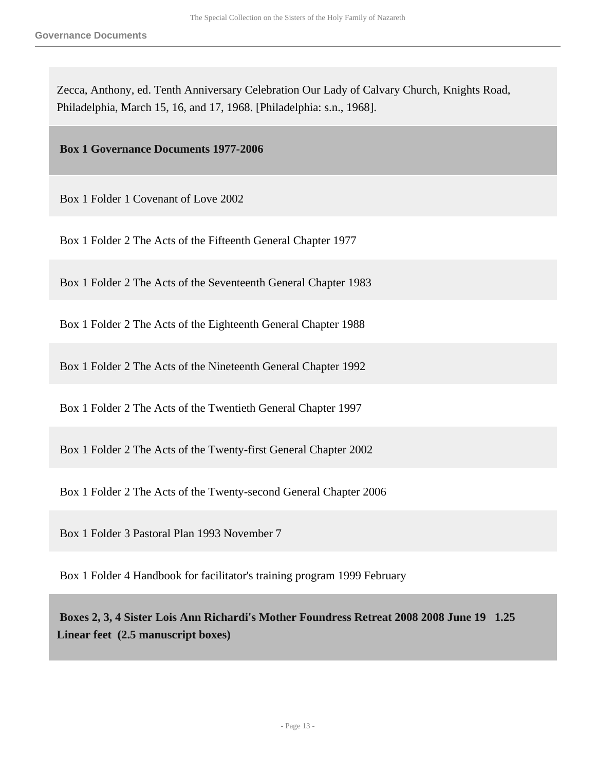Zecca, Anthony, ed. Tenth Anniversary Celebration Our Lady of Calvary Church, Knights Road, Philadelphia, March 15, 16, and 17, 1968. [Philadelphia: s.n., 1968].

<span id="page-12-0"></span> **Box 1 Governance Documents 1977-2006** 

Box 1 Folder 1 Covenant of Love 2002

Box 1 Folder 2 The Acts of the Fifteenth General Chapter 1977

Box 1 Folder 2 The Acts of the Seventeenth General Chapter 1983

Box 1 Folder 2 The Acts of the Eighteenth General Chapter 1988

Box 1 Folder 2 The Acts of the Nineteenth General Chapter 1992

Box 1 Folder 2 The Acts of the Twentieth General Chapter 1997

Box 1 Folder 2 The Acts of the Twenty-first General Chapter 2002

Box 1 Folder 2 The Acts of the Twenty-second General Chapter 2006

Box 1 Folder 3 Pastoral Plan 1993 November 7

Box 1 Folder 4 Handbook for facilitator's training program 1999 February

<span id="page-12-1"></span> **Boxes 2, 3, 4 Sister Lois Ann Richardi's Mother Foundress Retreat 2008 2008 June 19 1.25 Linear feet (2.5 manuscript boxes)**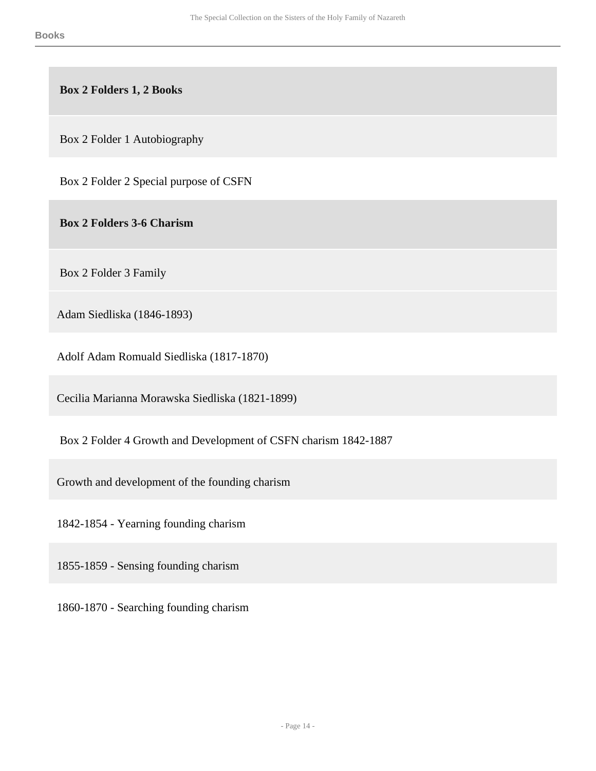**Box 2 Folders 1, 2 Books** 

Box 2 Folder 1 Autobiography

Box 2 Folder 2 Special purpose of CSFN

 **Box 2 Folders 3-6 Charism** 

Box 2 Folder 3 Family

Adam Siedliska (1846-1893)

Adolf Adam Romuald Siedliska (1817-1870)

Cecilia Marianna Morawska Siedliska (1821-1899)

Box 2 Folder 4 Growth and Development of CSFN charism 1842-1887

Growth and development of the founding charism

1842-1854 - Yearning founding charism

1855-1859 - Sensing founding charism

1860-1870 - Searching founding charism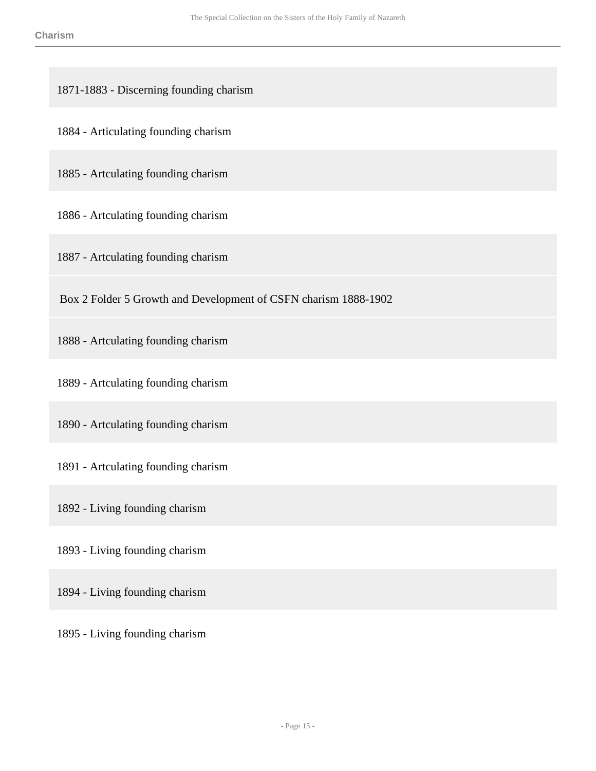1871-1883 - Discerning founding charism

1884 - Articulating founding charism

1885 - Artculating founding charism

1886 - Artculating founding charism

1887 - Artculating founding charism

Box 2 Folder 5 Growth and Development of CSFN charism 1888-1902

1888 - Artculating founding charism

1889 - Artculating founding charism

1890 - Artculating founding charism

1891 - Artculating founding charism

1892 - Living founding charism

1893 - Living founding charism

1894 - Living founding charism

1895 - Living founding charism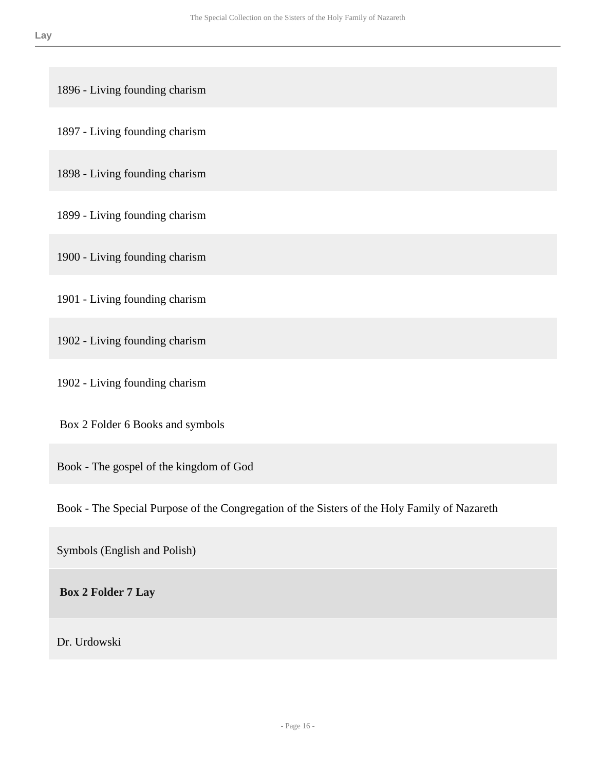1896 - Living founding charism

1897 - Living founding charism

1898 - Living founding charism

1899 - Living founding charism

1900 - Living founding charism

1901 - Living founding charism

1902 - Living founding charism

1902 - Living founding charism

Box 2 Folder 6 Books and symbols

Book - The gospel of the kingdom of God

Book - The Special Purpose of the Congregation of the Sisters of the Holy Family of Nazareth

Symbols (English and Polish)

 **Box 2 Folder 7 Lay** 

Dr. Urdowski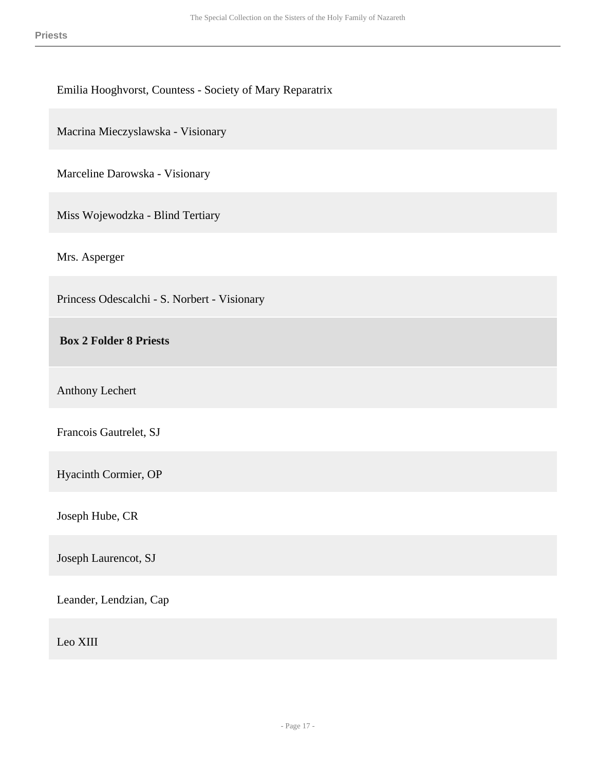### Emilia Hooghvorst, Countess - Society of Mary Reparatrix

Macrina Mieczyslawska - Visionary

Marceline Darowska - Visionary

Miss Wojewodzka - Blind Tertiary

Mrs. Asperger

Princess Odescalchi - S. Norbert - Visionary

 **Box 2 Folder 8 Priests** 

Anthony Lechert

Francois Gautrelet, SJ

Hyacinth Cormier, OP

Joseph Hube, CR

Joseph Laurencot, SJ

Leander, Lendzian, Cap

Leo XIII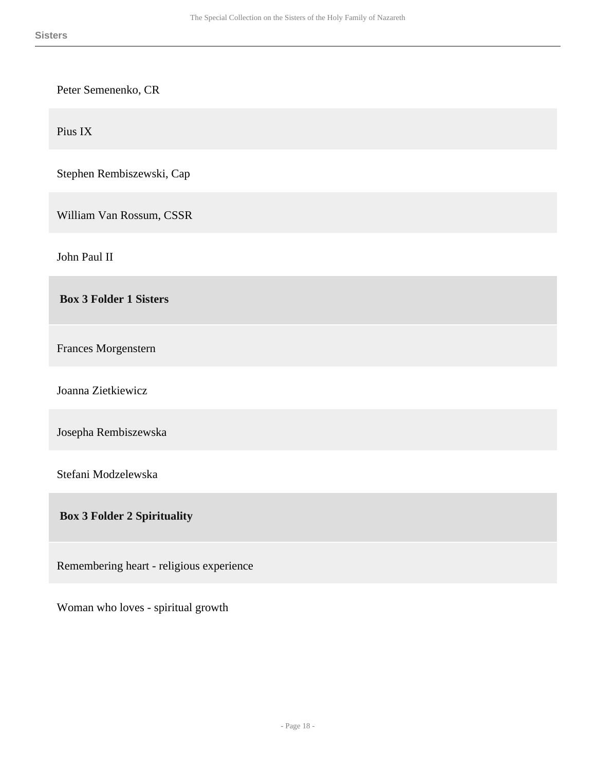| Peter Semenenko, CR                      |
|------------------------------------------|
| Pius IX                                  |
| Stephen Rembiszewski, Cap                |
| William Van Rossum, CSSR                 |
| John Paul II                             |
| <b>Box 3 Folder 1 Sisters</b>            |
| Frances Morgenstern                      |
| Joanna Zietkiewicz                       |
| Josepha Rembiszewska                     |
| Stefani Modzelewska                      |
| <b>Box 3 Folder 2 Spirituality</b>       |
| Remembering heart - religious experience |

Woman who loves - spiritual growth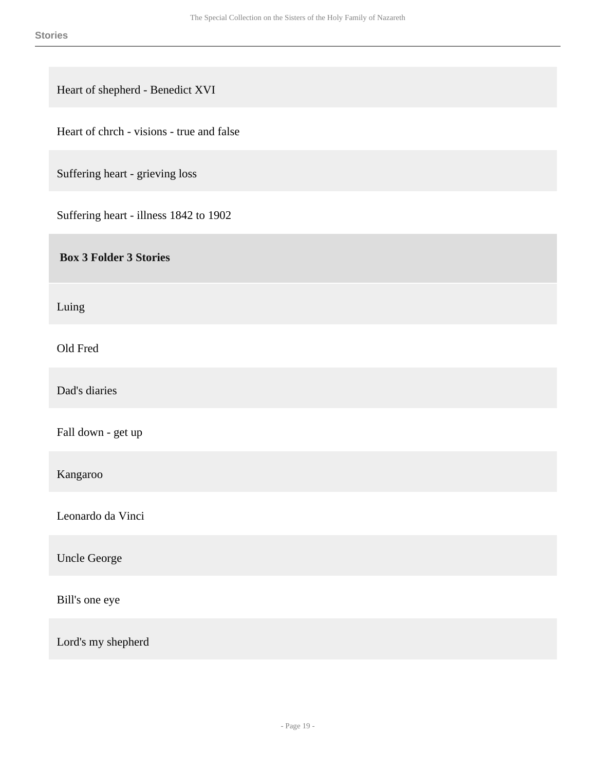Heart of shepherd - Benedict XVI

Heart of chrch - visions - true and false

Suffering heart - grieving loss

Suffering heart - illness 1842 to 1902

 **Box 3 Folder 3 Stories** 

Luing

Old Fred

Dad's diaries

Fall down - get up

Kangaroo

Leonardo da Vinci

Uncle George

Bill's one eye

Lord's my shepherd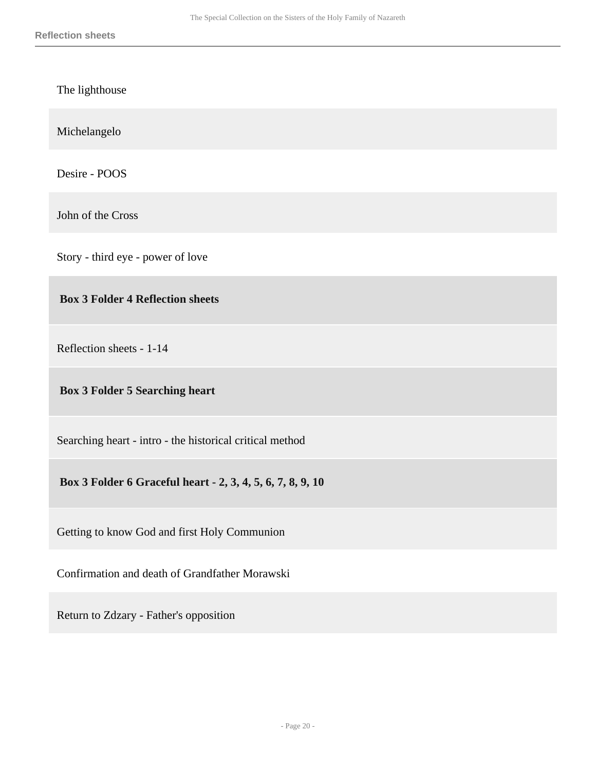The lighthouse

Michelangelo

Desire - POOS

John of the Cross

Story - third eye - power of love

 **Box 3 Folder 4 Reflection sheets** 

Reflection sheets - 1-14

### **Box 3 Folder 5 Searching heart**

Searching heart - intro - the historical critical method

 **Box 3 Folder 6 Graceful heart - 2, 3, 4, 5, 6, 7, 8, 9, 10** 

Getting to know God and first Holy Communion

Confirmation and death of Grandfather Morawski

Return to Zdzary - Father's opposition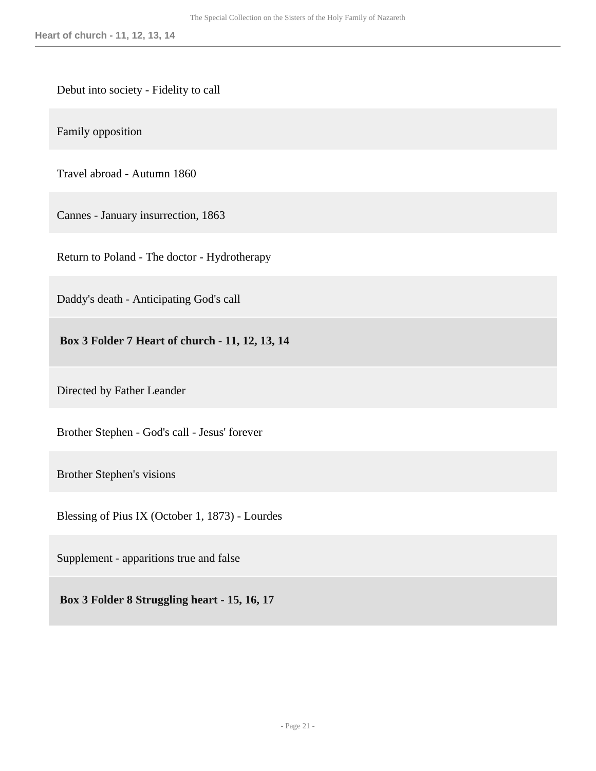#### Debut into society - Fidelity to call

Family opposition

Travel abroad - Autumn 1860

Cannes - January insurrection, 1863

Return to Poland - The doctor - Hydrotherapy

Daddy's death - Anticipating God's call

 **Box 3 Folder 7 Heart of church - 11, 12, 13, 14** 

Directed by Father Leander

Brother Stephen - God's call - Jesus' forever

Brother Stephen's visions

Blessing of Pius IX (October 1, 1873) - Lourdes

Supplement - apparitions true and false

 **Box 3 Folder 8 Struggling heart - 15, 16, 17**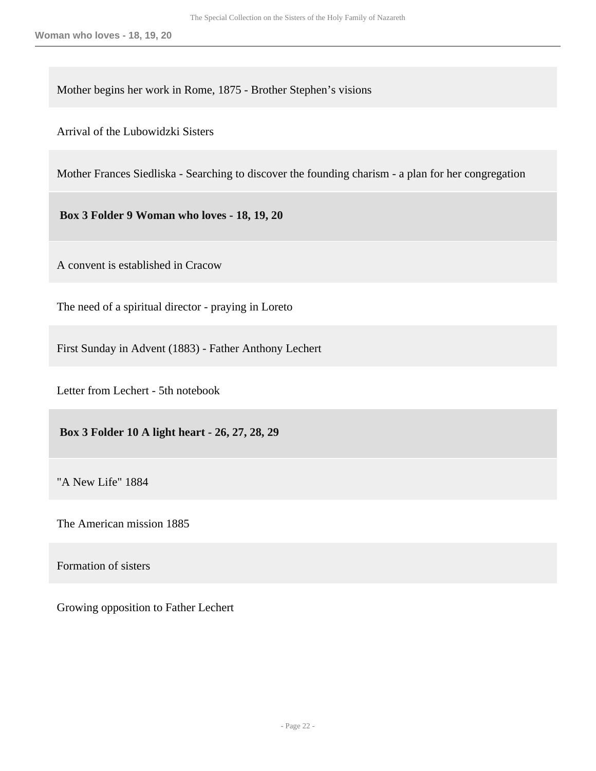Mother begins her work in Rome, 1875 - Brother Stephen's visions

Arrival of the Lubowidzki Sisters

Mother Frances Siedliska - Searching to discover the founding charism - a plan for her congregation

 **Box 3 Folder 9 Woman who loves - 18, 19, 20** 

A convent is established in Cracow

The need of a spiritual director - praying in Loreto

First Sunday in Advent (1883) - Father Anthony Lechert

Letter from Lechert - 5th notebook

 **Box 3 Folder 10 A light heart - 26, 27, 28, 29** 

"A New Life" 1884

The American mission 1885

Formation of sisters

Growing opposition to Father Lechert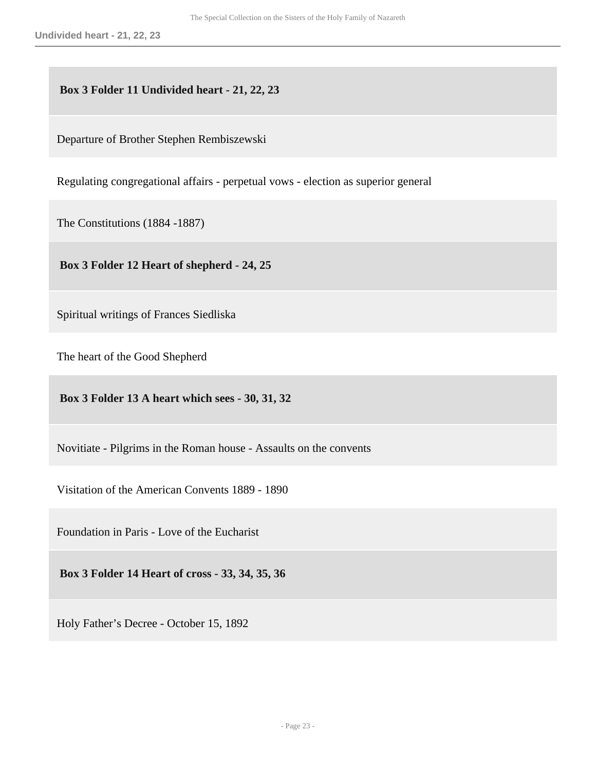### **Box 3 Folder 11 Undivided heart - 21, 22, 23**

Departure of Brother Stephen Rembiszewski

Regulating congregational affairs - perpetual vows - election as superior general

The Constitutions (1884 -1887)

 **Box 3 Folder 12 Heart of shepherd - 24, 25** 

Spiritual writings of Frances Siedliska

The heart of the Good Shepherd

 **Box 3 Folder 13 A heart which sees - 30, 31, 32** 

Novitiate - Pilgrims in the Roman house - Assaults on the convents

Visitation of the American Convents 1889 - 1890

Foundation in Paris - Love of the Eucharist

 **Box 3 Folder 14 Heart of cross - 33, 34, 35, 36** 

Holy Father's Decree - October 15, 1892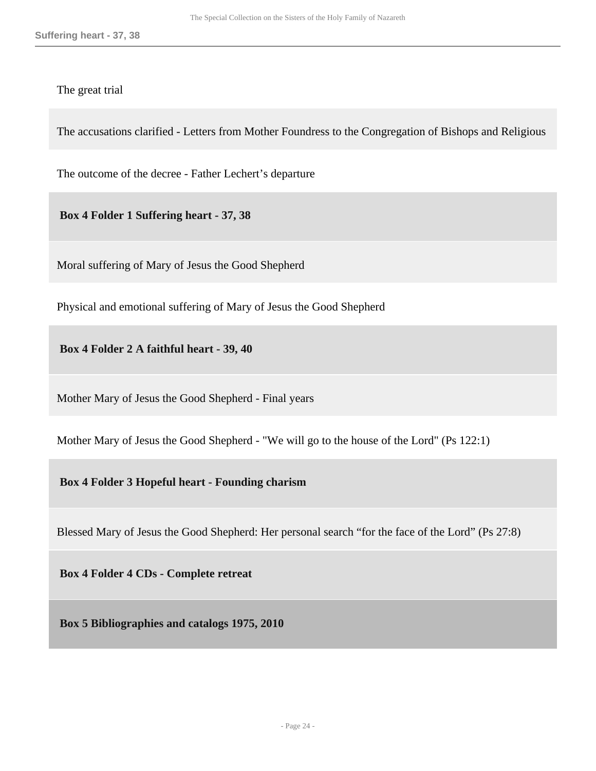The great trial

The accusations clarified - Letters from Mother Foundress to the Congregation of Bishops and Religious

The outcome of the decree - Father Lechert's departure

 **Box 4 Folder 1 Suffering heart - 37, 38** 

Moral suffering of Mary of Jesus the Good Shepherd

Physical and emotional suffering of Mary of Jesus the Good Shepherd

 **Box 4 Folder 2 A faithful heart - 39, 40** 

Mother Mary of Jesus the Good Shepherd - Final years

Mother Mary of Jesus the Good Shepherd - "We will go to the house of the Lord" (Ps 122:1)

 **Box 4 Folder 3 Hopeful heart - Founding charism** 

Blessed Mary of Jesus the Good Shepherd: Her personal search "for the face of the Lord" (Ps 27:8)

 **Box 4 Folder 4 CDs - Complete retreat** 

<span id="page-23-0"></span> **Box 5 Bibliographies and catalogs 1975, 2010**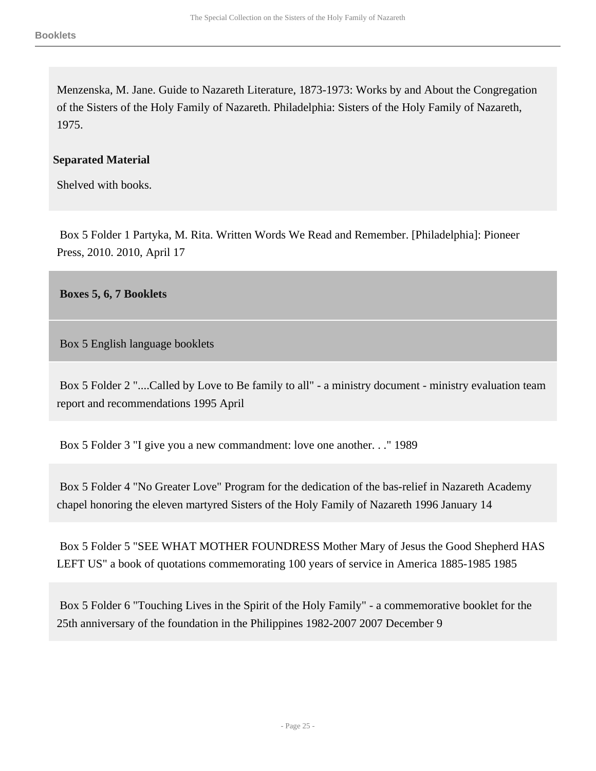Menzenska, M. Jane. Guide to Nazareth Literature, 1873-1973: Works by and About the Congregation of the Sisters of the Holy Family of Nazareth. Philadelphia: Sisters of the Holy Family of Nazareth, 1975.

### **Separated Material**

Shelved with books.

 Box 5 Folder 1 Partyka, M. Rita. Written Words We Read and Remember. [Philadelphia]: Pioneer Press, 2010. 2010, April 17

<span id="page-24-0"></span> **Boxes 5, 6, 7 Booklets** 

Box 5 English language booklets

 Box 5 Folder 2 "....Called by Love to Be family to all" - a ministry document - ministry evaluation team report and recommendations 1995 April

Box 5 Folder 3 "I give you a new commandment: love one another. . ." 1989

 Box 5 Folder 4 "No Greater Love" Program for the dedication of the bas-relief in Nazareth Academy chapel honoring the eleven martyred Sisters of the Holy Family of Nazareth 1996 January 14

 Box 5 Folder 5 "SEE WHAT MOTHER FOUNDRESS Mother Mary of Jesus the Good Shepherd HAS LEFT US" a book of quotations commemorating 100 years of service in America 1885-1985 1985

 Box 5 Folder 6 "Touching Lives in the Spirit of the Holy Family" - a commemorative booklet for the 25th anniversary of the foundation in the Philippines 1982-2007 2007 December 9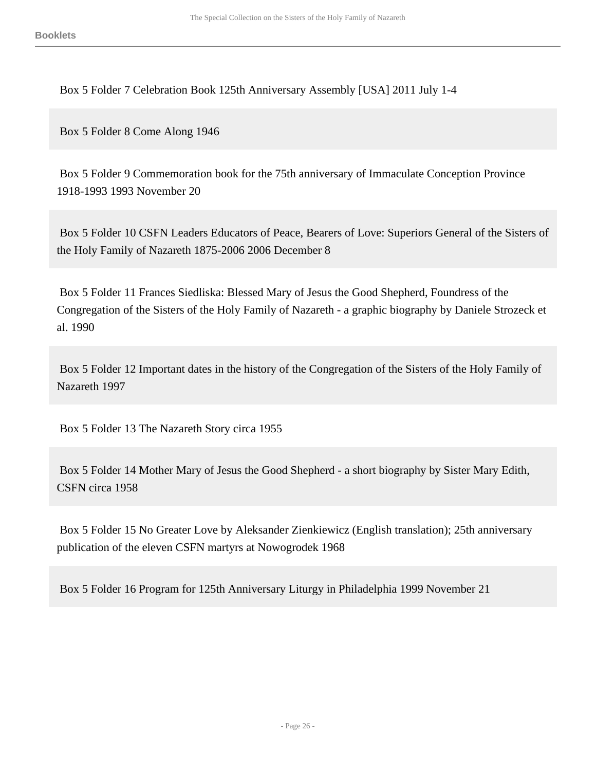Box 5 Folder 7 Celebration Book 125th Anniversary Assembly [USA] 2011 July 1-4

Box 5 Folder 8 Come Along 1946

 Box 5 Folder 9 Commemoration book for the 75th anniversary of Immaculate Conception Province 1918-1993 1993 November 20

 Box 5 Folder 10 CSFN Leaders Educators of Peace, Bearers of Love: Superiors General of the Sisters of the Holy Family of Nazareth 1875-2006 2006 December 8

 Box 5 Folder 11 Frances Siedliska: Blessed Mary of Jesus the Good Shepherd, Foundress of the Congregation of the Sisters of the Holy Family of Nazareth - a graphic biography by Daniele Strozeck et al. 1990

 Box 5 Folder 12 Important dates in the history of the Congregation of the Sisters of the Holy Family of Nazareth 1997

Box 5 Folder 13 The Nazareth Story circa 1955

 Box 5 Folder 14 Mother Mary of Jesus the Good Shepherd - a short biography by Sister Mary Edith, CSFN circa 1958

 Box 5 Folder 15 No Greater Love by Aleksander Zienkiewicz (English translation); 25th anniversary publication of the eleven CSFN martyrs at Nowogrodek 1968

Box 5 Folder 16 Program for 125th Anniversary Liturgy in Philadelphia 1999 November 21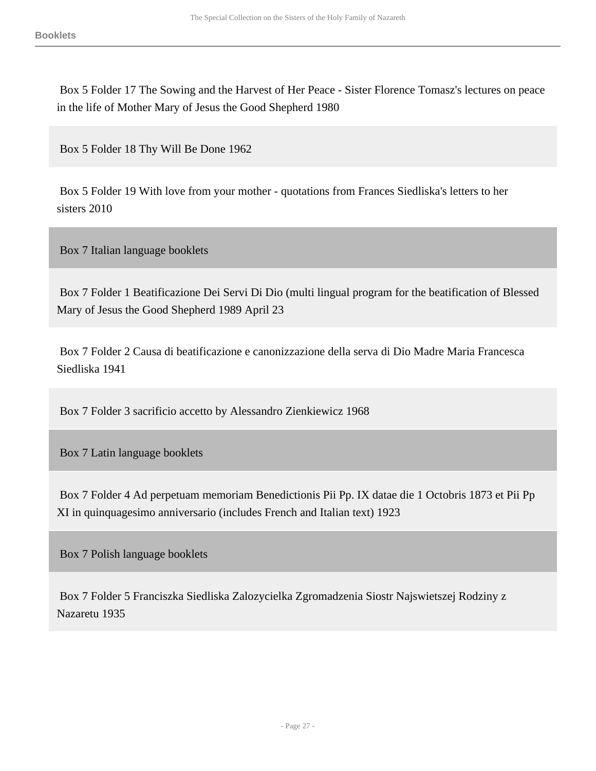Box 5 Folder 17 The Sowing and the Harvest of Her Peace - Sister Florence Tomasz's lectures on peace in the life of Mother Mary of Jesus the Good Shepherd 1980

Box 5 Folder 18 Thy Will Be Done 1962

 Box 5 Folder 19 With love from your mother - quotations from Frances Siedliska's letters to her sisters 2010

Box 7 Italian language booklets

 Box 7 Folder 1 Beatificazione Dei Servi Di Dio (multi lingual program for the beatification of Blessed Mary of Jesus the Good Shepherd 1989 April 23

 Box 7 Folder 2 Causa di beatificazione e canonizzazione della serva di Dio Madre Maria Francesca Siedliska 1941

Box 7 Folder 3 sacrificio accetto by Alessandro Zienkiewicz 1968

Box 7 Latin language booklets

 Box 7 Folder 4 Ad perpetuam memoriam Benedictionis Pii Pp. IX datae die 1 Octobris 1873 et Pii Pp XI in quinquagesimo anniversario (includes French and Italian text) 1923

Box 7 Polish language booklets

 Box 7 Folder 5 Franciszka Siedliska Zalozycielka Zgromadzenia Siostr Najswietszej Rodziny z Nazaretu 1935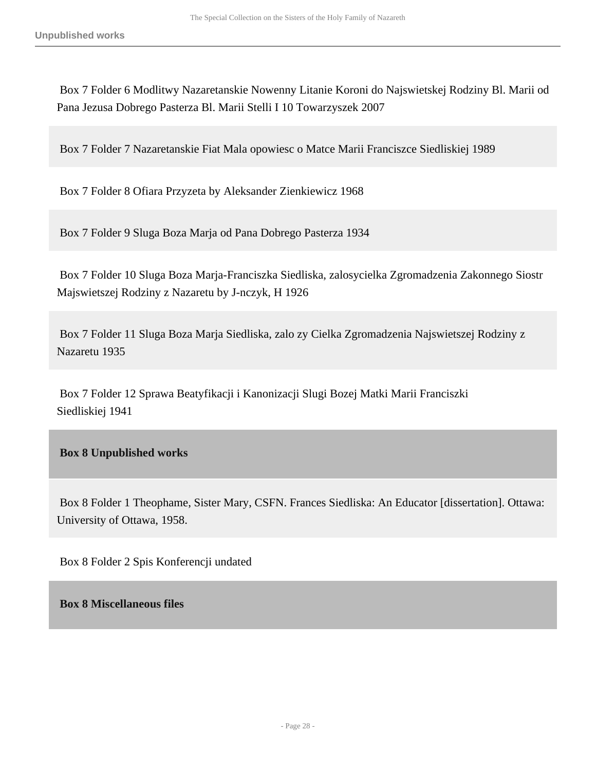Box 7 Folder 6 Modlitwy Nazaretanskie Nowenny Litanie Koroni do Najswietskej Rodziny Bl. Marii od Pana Jezusa Dobrego Pasterza Bl. Marii Stelli I 10 Towarzyszek 2007

Box 7 Folder 7 Nazaretanskie Fiat Mala opowiesc o Matce Marii Franciszce Siedliskiej 1989

Box 7 Folder 8 Ofiara Przyzeta by Aleksander Zienkiewicz 1968

Box 7 Folder 9 Sluga Boza Marja od Pana Dobrego Pasterza 1934

 Box 7 Folder 10 Sluga Boza Marja-Franciszka Siedliska, zalosycielka Zgromadzenia Zakonnego Siostr Majswietszej Rodziny z Nazaretu by J-nczyk, H 1926

 Box 7 Folder 11 Sluga Boza Marja Siedliska, zalo zy Cielka Zgromadzenia Najswietszej Rodziny z Nazaretu 1935

 Box 7 Folder 12 Sprawa Beatyfikacji i Kanonizacji Slugi Bozej Matki Marii Franciszki Siedliskiej 1941

### <span id="page-27-0"></span> **Box 8 Unpublished works**

 Box 8 Folder 1 Theophame, Sister Mary, CSFN. Frances Siedliska: An Educator [dissertation]. Ottawa: University of Ottawa, 1958.

Box 8 Folder 2 Spis Konferencji undated

<span id="page-27-1"></span> **Box 8 Miscellaneous files**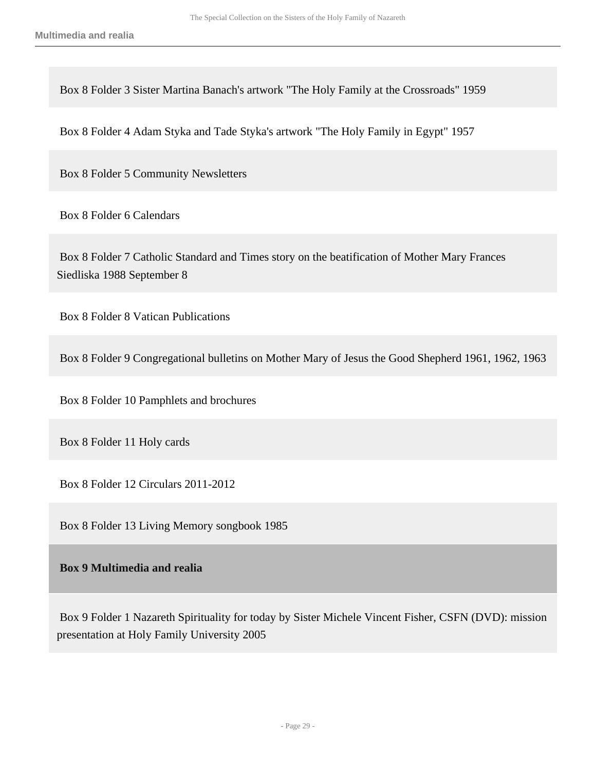Box 8 Folder 3 Sister Martina Banach's artwork "The Holy Family at the Crossroads" 1959

Box 8 Folder 4 Adam Styka and Tade Styka's artwork "The Holy Family in Egypt" 1957

Box 8 Folder 5 Community Newsletters

Box 8 Folder 6 Calendars

 Box 8 Folder 7 Catholic Standard and Times story on the beatification of Mother Mary Frances Siedliska 1988 September 8

Box 8 Folder 8 Vatican Publications

Box 8 Folder 9 Congregational bulletins on Mother Mary of Jesus the Good Shepherd 1961, 1962, 1963

Box 8 Folder 10 Pamphlets and brochures

Box 8 Folder 11 Holy cards

Box 8 Folder 12 Circulars 2011-2012

Box 8 Folder 13 Living Memory songbook 1985

### <span id="page-28-0"></span> **Box 9 Multimedia and realia**

 Box 9 Folder 1 Nazareth Spirituality for today by Sister Michele Vincent Fisher, CSFN (DVD): mission presentation at Holy Family University 2005